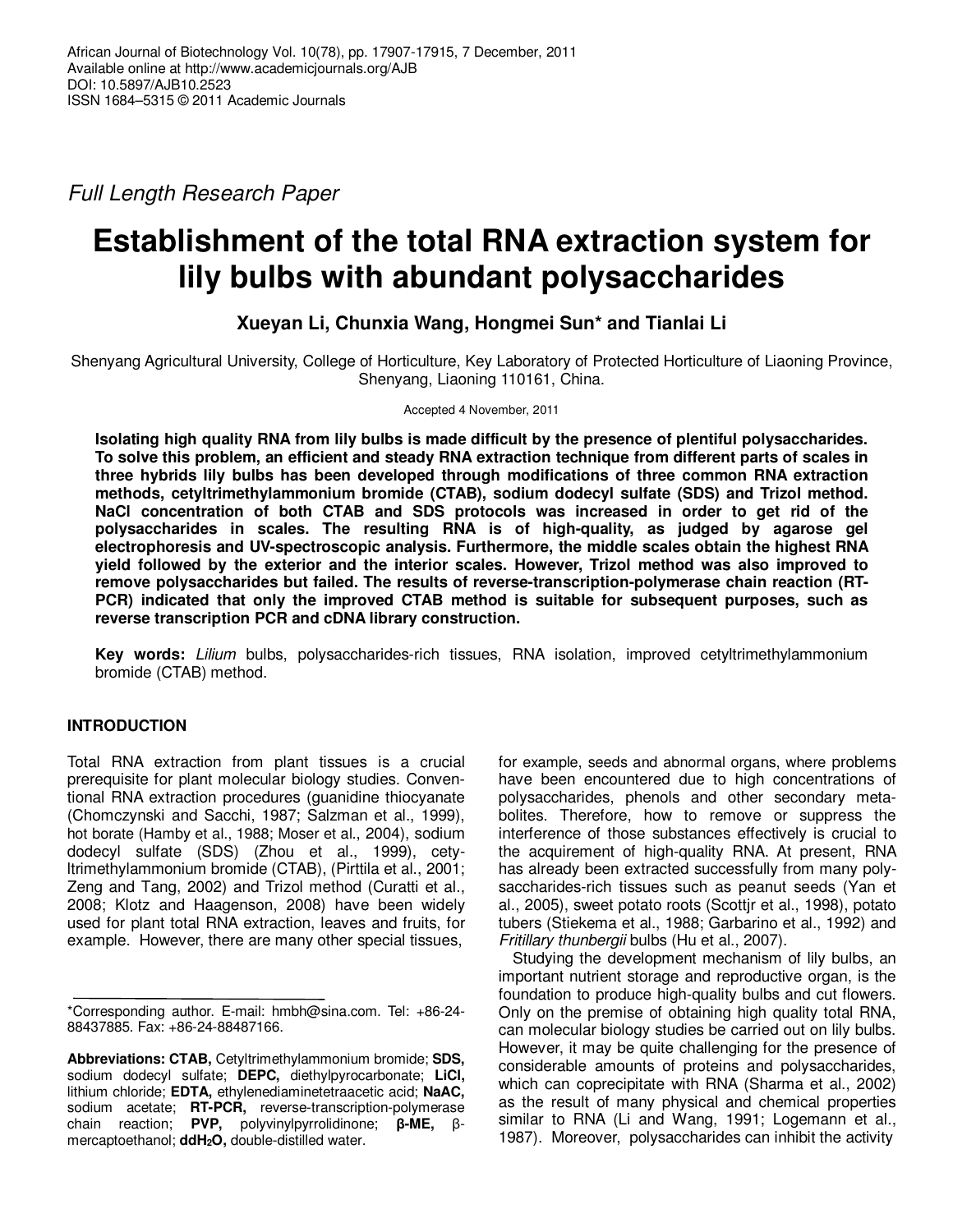Full Length Research Paper

# **Establishment of the total RNA extraction system for lily bulbs with abundant polysaccharides**

# **Xueyan Li, Chunxia Wang, Hongmei Sun\* and Tianlai Li**

Shenyang Agricultural University, College of Horticulture, Key Laboratory of Protected Horticulture of Liaoning Province, Shenyang, Liaoning 110161, China.

Accepted 4 November, 2011

**Isolating high quality RNA from lily bulbs is made difficult by the presence of plentiful polysaccharides. To solve this problem, an efficient and steady RNA extraction technique from different parts of scales in three hybrids lily bulbs has been developed through modifications of three common RNA extraction methods, cetyltrimethylammonium bromide (CTAB), sodium dodecyl sulfate (SDS) and Trizol method. NaCl concentration of both CTAB and SDS protocols was increased in order to get rid of the polysaccharides in scales. The resulting RNA is of high-quality, as judged by agarose gel electrophoresis and UV-spectroscopic analysis. Furthermore, the middle scales obtain the highest RNA yield followed by the exterior and the interior scales. However, Trizol method was also improved to remove polysaccharides but failed. The results of reverse-transcription-polymerase chain reaction (RT-PCR) indicated that only the improved CTAB method is suitable for subsequent purposes, such as reverse transcription PCR and cDNA library construction.** 

**Key words:** Lilium bulbs, polysaccharides-rich tissues, RNA isolation, improved cetyltrimethylammonium bromide (CTAB) method.

# **INTRODUCTION**

Total RNA extraction from plant tissues is a crucial prerequisite for plant molecular biology studies. Conventional RNA extraction procedures (guanidine thiocyanate (Chomczynski and Sacchi, 1987; Salzman et al., 1999), hot borate (Hamby et al., 1988; Moser et al., 2004), sodium dodecyl sulfate (SDS) (Zhou et al., 1999), cetyltrimethylammonium bromide (CTAB), (Pirttila et al., 2001; Zeng and Tang, 2002) and Trizol method (Curatti et al., 2008; Klotz and Haagenson, 2008) have been widely used for plant total RNA extraction, leaves and fruits, for example. However, there are many other special tissues,

for example, seeds and abnormal organs, where problems have been encountered due to high concentrations of polysaccharides, phenols and other secondary metabolites. Therefore, how to remove or suppress the interference of those substances effectively is crucial to the acquirement of high-quality RNA. At present, RNA has already been extracted successfully from many polysaccharides-rich tissues such as peanut seeds (Yan et al., 2005), sweet potato roots (Scottjr et al., 1998), potato tubers (Stiekema et al., 1988; Garbarino et al., 1992) and Fritillary thunbergii bulbs (Hu et al., 2007).

Studying the development mechanism of lily bulbs, an important nutrient storage and reproductive organ, is the foundation to produce high-quality bulbs and cut flowers. Only on the premise of obtaining high quality total RNA, can molecular biology studies be carried out on lily bulbs. However, it may be quite challenging for the presence of considerable amounts of proteins and polysaccharides, which can coprecipitate with RNA (Sharma et al., 2002) as the result of many physical and chemical properties similar to RNA (Li and Wang, 1991; Logemann et al., 1987). Moreover, polysaccharides can inhibit the activity

<sup>\*</sup>Corresponding author. E-mail: hmbh@sina.com. Tel: +86-24- 88437885. Fax: +86-24-88487166.

**Abbreviations: CTAB,** Cetyltrimethylammonium bromide; **SDS,** sodium dodecyl sulfate; **DEPC,** diethylpyrocarbonate; **LiCl,**  lithium chloride; **EDTA,** ethylenediaminetetraacetic acid; **NaAC,**  sodium acetate; **RT-PCR,** reverse-transcription-polymerase chain reaction; **PVP,** polyvinylpyrrolidinone; **β-ME,** βmercaptoethanol; **ddH2O,** double-distilled water.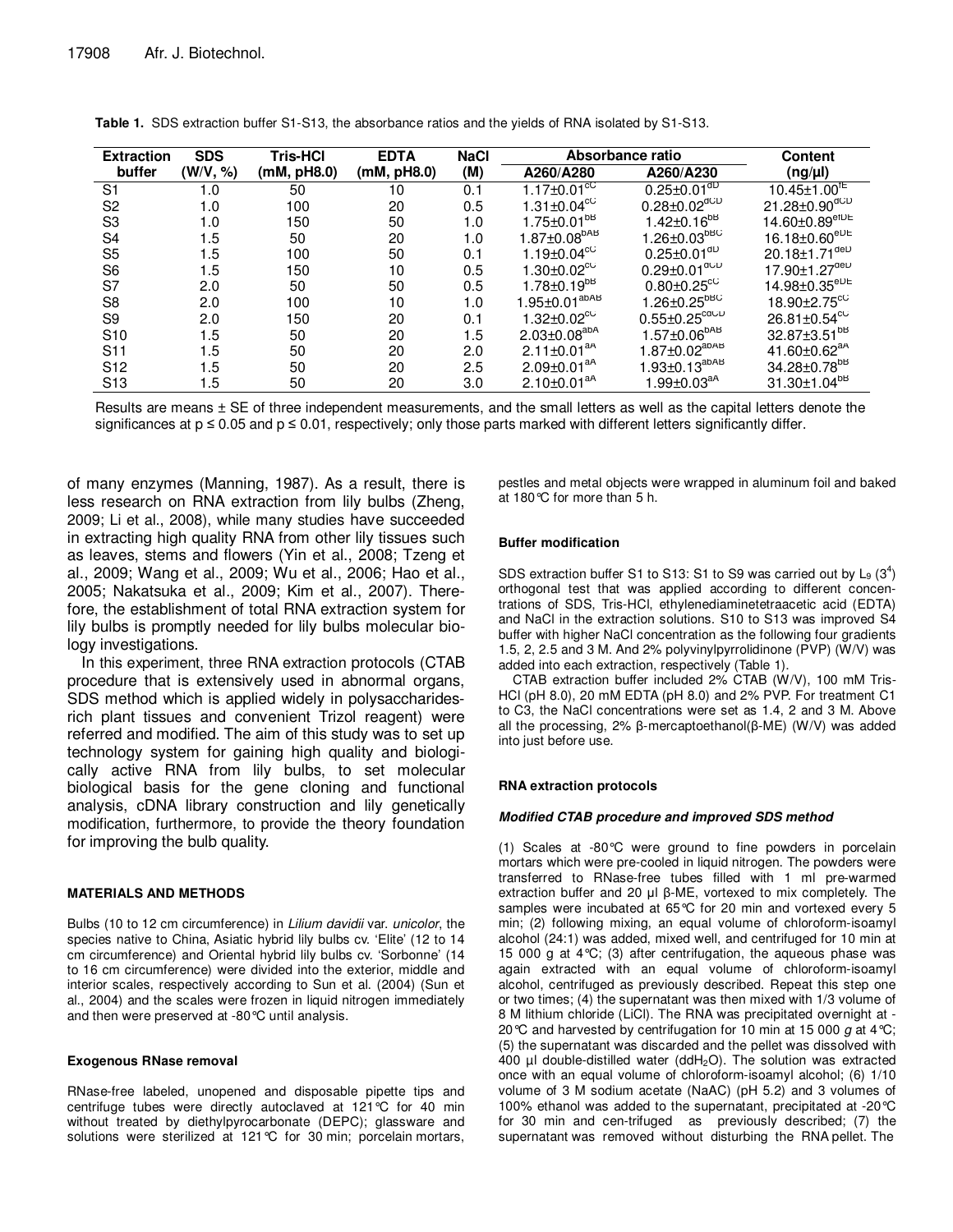| <b>Extraction</b> | <b>SDS</b> | <b>Tris-HCI</b> | <b>EDTA</b> | <b>NaCl</b> | Absorbance ratio                    |                                                                          | <b>Content</b>                    |
|-------------------|------------|-----------------|-------------|-------------|-------------------------------------|--------------------------------------------------------------------------|-----------------------------------|
| buffer            | (W/V, %)   | (mM, pH8.0)     | (mM, pH8.0) | (M)         | A260/A280                           | A260/A230                                                                | $(ng/\mu l)$                      |
| S <sub>1</sub>    | 1.0        | 50              | 10          | 0.1         | 1.17 $\pm$ 0.01 $\overline{C}$      | $0.25 \pm 0.01$ <sup>dD</sup>                                            | $10.45 \pm 1.00^{\text{TE}}$      |
| S <sub>2</sub>    | 1.0        | 100             | 20          | 0.5         | $1.31 \pm 0.04^{\circ}$             | $0.28 \pm 0.02^{\text{dCD}}$                                             | $21.28 \pm 0.90^{\text{dCD}}$     |
| S <sub>3</sub>    | 1.0        | 150             | 50          | 1.0         | $1.75 \pm 0.01^{b}$                 | $1.42 \pm 0.16^{b}$                                                      | $14.60 \pm 0.89^{\text{etDE}}$    |
| S <sub>4</sub>    | 1.5        | 50              | 20          | 1.0         | $1.87 \pm 0.08^{bAB}$               | $1.26 \pm 0.03^{bBC}$                                                    | $16.18 \pm 0.60^{eDE}$            |
| S <sub>5</sub>    | 1.5        | 100             | 50          | 0.1         | $1.19 \pm 0.04^{\circ}$             | $0.25 \pm 0.01$ <sup>dD</sup>                                            | $20.18 \pm 1.71^{\text{del}}$     |
| S <sub>6</sub>    | 1.5        | 150             | 10          | 0.5         | $1.30 \pm 0.02$ <sup>cC</sup>       | $0.29 \pm 0.01^{\text{aCD}}$                                             | $17.90 \pm 1.27^{\text{del}}$     |
| S7                | 2.0        | 50              | 50          | 0.5         | $1.78 \pm 0.19^{b}$                 | $0.80 \pm 0.25$ <sup>cC</sup>                                            | $14.98 \pm 0.35^{\rm eDE}$        |
| S <sub>8</sub>    | 2.0        | 100             | 10          | 1.0         | $1.95 \pm 0.01^{a}$ <sub>abAB</sub> | $1.26 \pm 0.25^{\text{bBC}}$                                             | 18.90 $\pm$ 2.75 $\mathrm{^{cc}}$ |
| S <sub>9</sub>    | 2.0        | 150             | 20          | 0.1         | $1.32 \pm 0.02$ <sup>cC</sup>       | $0.55 \pm 0.25^{\text{cdCD}}$                                            | $26.81 \pm 0.54$ <sup>cC</sup>    |
| S <sub>10</sub>   | 1.5        | 50              | 20          | 1.5         | $2.03 \pm 0.08^{a}$                 | $1.57 \pm 0.06^{bAB}$                                                    | 32.87±3.51 <sup>bB</sup>          |
| S <sub>11</sub>   | 1.5        | 50              | 20          | 2.0         | $2.11 \pm 0.01^{aA}$                | $1.87 \pm 0.02^{a}$ <sup>AB</sup>                                        | 41.60 $\pm$ 0.62 $^{aA}$          |
| S <sub>12</sub>   | 1.5        | 50              | 20          | 2.5         | $2.09 \pm 0.01$ <sup>aA</sup>       | $1.93 \pm 0.13^{a}$ <sup><math>a</math>b<math>a</math><sup>B</sup></sup> | 34.28±0.78 <sup>bB</sup>          |
| S <sub>13</sub>   | 1.5        | 50              | 20          | 3.0         | $2.10 \pm 0.01^{aA}$                | $1.99 \pm 0.03^{aA}$                                                     | $31.30{\pm}1.04^{\text{b}}$       |

|  |  |  |  | Table 1. SDS extraction buffer S1-S13, the absorbance ratios and the yields of RNA isolated by S1-S13. |
|--|--|--|--|--------------------------------------------------------------------------------------------------------|
|--|--|--|--|--------------------------------------------------------------------------------------------------------|

Results are means ± SE of three independent measurements, and the small letters as well as the capital letters denote the significances at  $p \le 0.05$  and  $p \le 0.01$ , respectively; only those parts marked with different letters significantly differ.

of many enzymes (Manning, 1987). As a result, there is less research on RNA extraction from lily bulbs (Zheng, 2009; Li et al., 2008), while many studies have succeeded in extracting high quality RNA from other lily tissues such as leaves, stems and flowers (Yin et al., 2008; Tzeng et al., 2009; Wang et al., 2009; Wu et al., 2006; Hao et al., 2005; Nakatsuka et al., 2009; Kim et al., 2007). Therefore, the establishment of total RNA extraction system for lily bulbs is promptly needed for lily bulbs molecular biology investigations.

In this experiment, three RNA extraction protocols (CTAB procedure that is extensively used in abnormal organs, SDS method which is applied widely in polysaccharidesrich plant tissues and convenient Trizol reagent) were referred and modified. The aim of this study was to set up technology system for gaining high quality and biologically active RNA from lily bulbs, to set molecular biological basis for the gene cloning and functional analysis, cDNA library construction and lily genetically modification, furthermore, to provide the theory foundation for improving the bulb quality.

#### **MATERIALS AND METHODS**

Bulbs (10 to 12 cm circumference) in Lilium davidii var. unicolor, the species native to China, Asiatic hybrid lily bulbs cv. 'Elite' (12 to 14 cm circumference) and Oriental hybrid lily bulbs cv. 'Sorbonne' (14 to 16 cm circumference) were divided into the exterior, middle and interior scales, respectively according to Sun et al. (2004) (Sun et al., 2004) and the scales were frozen in liquid nitrogen immediately and then were preserved at -80°C until analysis.

#### **Exogenous RNase removal**

RNase-free labeled, unopened and disposable pipette tips and centrifuge tubes were directly autoclaved at 121°C for 40 min without treated by diethylpyrocarbonate (DEPC); glassware and solutions were sterilized at 121°C for 30 min; porcelain mortars,

pestles and metal objects were wrapped in aluminum foil and baked at 180°C for more than 5 h.

#### **Buffer modification**

SDS extraction buffer S1 to S13: S1 to S9 was carried out by  $L_9$  (3<sup>4</sup>) orthogonal test that was applied according to different concentrations of SDS, Tris-HCl, ethylenediaminetetraacetic acid (EDTA) and NaCl in the extraction solutions. S10 to S13 was improved S4 buffer with higher NaCl concentration as the following four gradients 1.5, 2, 2.5 and 3 M. And 2% polyvinylpyrrolidinone (PVP) (W/V) was added into each extraction, respectively (Table 1).

CTAB extraction buffer included 2% CTAB (W/V), 100 mM Tris-HCl (pH 8.0), 20 mM EDTA (pH 8.0) and 2% PVP. For treatment C1 to C3, the NaCl concentrations were set as 1.4, 2 and 3 M. Above all the processing, 2% β-mercaptoethanol(β-ME) (W/V) was added into just before use.

#### **RNA extraction protocols**

#### **Modified CTAB procedure and improved SDS method**

(1) Scales at -80°C were ground to fine powders in porcelain mortars which were pre-cooled in liquid nitrogen. The powders were transferred to RNase-free tubes filled with 1 ml pre-warmed extraction buffer and 20 µl β-ME, vortexed to mix completely. The samples were incubated at 65°C for 20 min and vortexed every 5 min; (2) following mixing, an equal volume of chloroform-isoamyl alcohol (24:1) was added, mixed well, and centrifuged for 10 min at 15 000 g at 4°C; (3) after centrifugation, the aqueous phase was again extracted with an equal volume of chloroform-isoamyl alcohol, centrifuged as previously described. Repeat this step one or two times; (4) the supernatant was then mixed with 1/3 volume of 8 M lithium chloride (LiCl). The RNA was precipitated overnight at - 20 °C and harvested by centrifugation for 10 min at 15 000  $g$  at 4 °C; (5) the supernatant was discarded and the pellet was dissolved with 400  $\mu$ l double-distilled water (ddH<sub>2</sub>O). The solution was extracted once with an equal volume of chloroform-isoamyl alcohol; (6) 1/10 volume of 3 M sodium acetate (NaAC) (pH 5.2) and 3 volumes of 100% ethanol was added to the supernatant, precipitated at -20°C for 30 min and cen-trifuged as previously described; (7) the supernatant was removed without disturbing the RNA pellet. The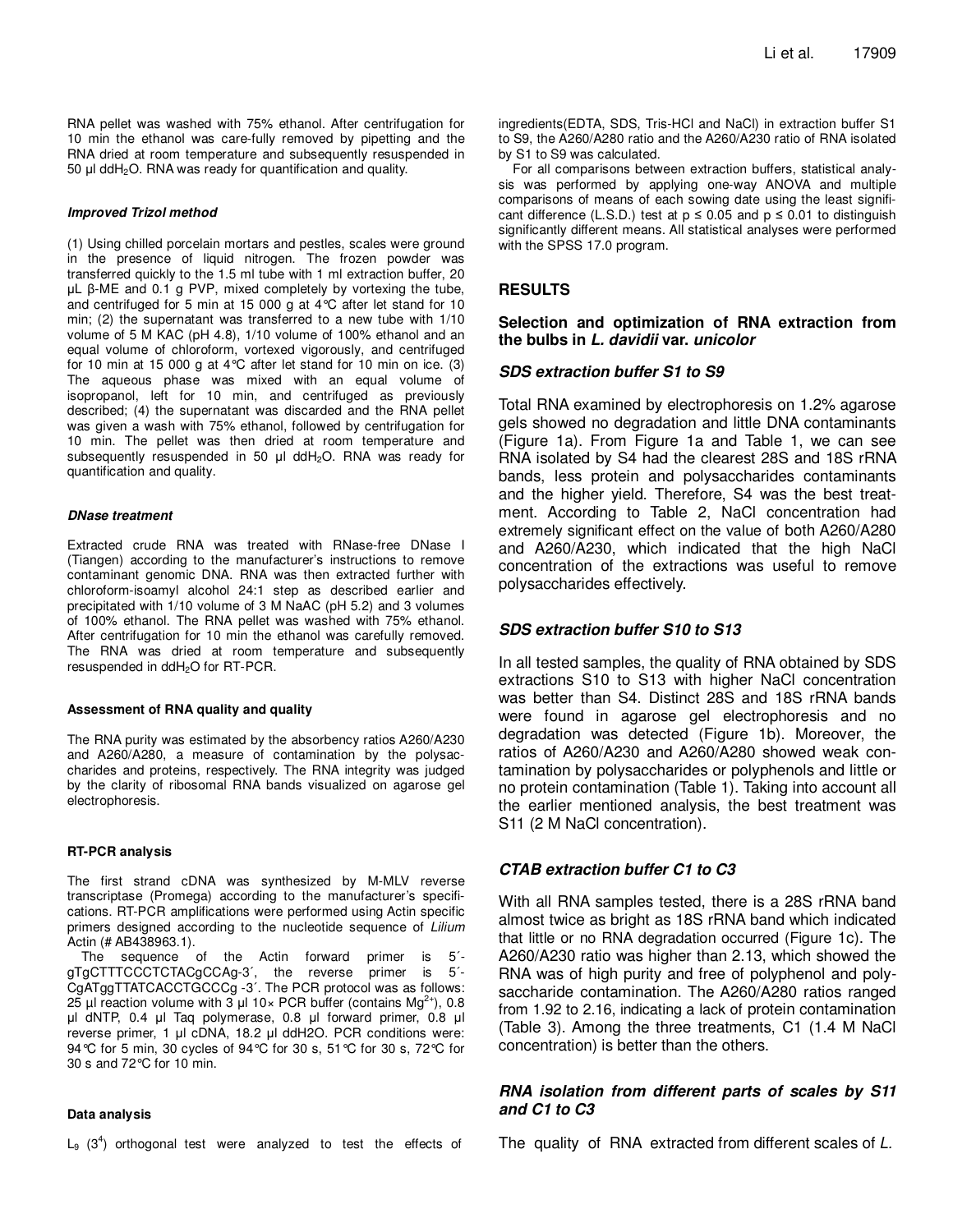RNA pellet was washed with 75% ethanol. After centrifugation for 10 min the ethanol was care-fully removed by pipetting and the RNA dried at room temperature and subsequently resuspended in 50 µl ddH2O. RNA was ready for quantification and quality.

#### **Improved Trizol method**

(1) Using chilled porcelain mortars and pestles, scales were ground in the presence of liquid nitrogen. The frozen powder was transferred quickly to the 1.5 ml tube with 1 ml extraction buffer, 20 µL β-ME and 0.1 g PVP, mixed completely by vortexing the tube, and centrifuged for 5 min at 15 000 g at 4°C after let stand for 10 min; (2) the supernatant was transferred to a new tube with 1/10 volume of 5 M KAC (pH 4.8), 1/10 volume of 100% ethanol and an equal volume of chloroform, vortexed vigorously, and centrifuged for 10 min at 15 000 g at 4°C after let stand for 10 min on ice. (3) The aqueous phase was mixed with an equal volume of isopropanol, left for 10 min, and centrifuged as previously described; (4) the supernatant was discarded and the RNA pellet was given a wash with 75% ethanol, followed by centrifugation for 10 min. The pellet was then dried at room temperature and subsequently resuspended in 50 µl ddH<sub>2</sub>O. RNA was ready for quantification and quality.

#### **DNase treatment**

Extracted crude RNA was treated with RNase-free DNase I (Tiangen) according to the manufacturer's instructions to remove contaminant genomic DNA. RNA was then extracted further with chloroform-isoamyl alcohol 24:1 step as described earlier and precipitated with 1/10 volume of 3 M NaAC (pH 5.2) and 3 volumes of 100% ethanol. The RNA pellet was washed with 75% ethanol. After centrifugation for 10 min the ethanol was carefully removed. The RNA was dried at room temperature and subsequently resuspended in ddH2O for RT-PCR.

#### **Assessment of RNA quality and quality**

The RNA purity was estimated by the absorbency ratios A260/A230 and A260/A280, a measure of contamination by the polysaccharides and proteins, respectively. The RNA integrity was judged by the clarity of ribosomal RNA bands visualized on agarose gel electrophoresis.

#### **RT-PCR analysis**

The first strand cDNA was synthesized by M-MLV reverse transcriptase (Promega) according to the manufacturer's specifications. RT-PCR amplifications were performed using Actin specific primers designed according to the nucleotide sequence of Lilium Actin (# AB438963.1).

The sequence of the Actin forward primer is 5´ gTgCTTTCCCTCTACgCCAg-3´, the reverse primer is 5´- CgATggTTATCACCTGCCCg -3´. The PCR protocol was as follows: 25 µl reaction volume with 3 µl 10 $\times$  PCR buffer (contains Mg<sup>2+</sup>), 0.8 µl dNTP, 0.4 µl Taq polymerase, 0.8 µl forward primer, 0.8 µl reverse primer, 1 µl cDNA, 18.2 µl ddH2O. PCR conditions were: 94°C for 5 min, 30 cycles of 94°C for 30 s, 51°C for 30 s, 72°C for 30 s and 72°C for 10 min.

#### **Data analysis**

 $L_9$  (3<sup>4</sup>) orthogonal test were analyzed to test the effects of

ingredients(EDTA, SDS, Tris-HCl and NaCl) in extraction buffer S1 to S9, the A260/A280 ratio and the A260/A230 ratio of RNA isolated by S1 to S9 was calculated.

For all comparisons between extraction buffers, statistical analysis was performed by applying one-way ANOVA and multiple comparisons of means of each sowing date using the least significant difference (L.S.D.) test at  $p \le 0.05$  and  $p \le 0.01$  to distinguish significantly different means. All statistical analyses were performed with the SPSS 17.0 program.

## **RESULTS**

## **Selection and optimization of RNA extraction from the bulbs in L. davidii var. unicolor**

## **SDS extraction buffer S1 to S9**

Total RNA examined by electrophoresis on 1.2% agarose gels showed no degradation and little DNA contaminants (Figure 1a). From Figure 1a and Table 1, we can see RNA isolated by S4 had the clearest 28S and 18S rRNA bands, less protein and polysaccharides contaminants and the higher yield. Therefore, S4 was the best treatment. According to Table 2, NaCl concentration had extremely significant effect on the value of both A260/A280 and A260/A230, which indicated that the high NaCl concentration of the extractions was useful to remove polysaccharides effectively.

# **SDS extraction buffer S10 to S13**

In all tested samples, the quality of RNA obtained by SDS extractions S10 to S13 with higher NaCl concentration was better than S4. Distinct 28S and 18S rRNA bands were found in agarose gel electrophoresis and no degradation was detected (Figure 1b). Moreover, the ratios of A260/A230 and A260/A280 showed weak contamination by polysaccharides or polyphenols and little or no protein contamination (Table 1). Taking into account all the earlier mentioned analysis, the best treatment was S11 (2 M NaCl concentration).

# **CTAB extraction buffer C1 to C3**

With all RNA samples tested, there is a 28S rRNA band almost twice as bright as 18S rRNA band which indicated that little or no RNA degradation occurred (Figure 1c). The A260/A230 ratio was higher than 2.13, which showed the RNA was of high purity and free of polyphenol and polysaccharide contamination. The A260/A280 ratios ranged from 1.92 to 2.16, indicating a lack of protein contamination (Table 3). Among the three treatments, C1 (1.4 M NaCl concentration) is better than the others.

## **RNA isolation from different parts of scales by S11 and C1 to C3**

The quality of RNA extracted from different scales of L.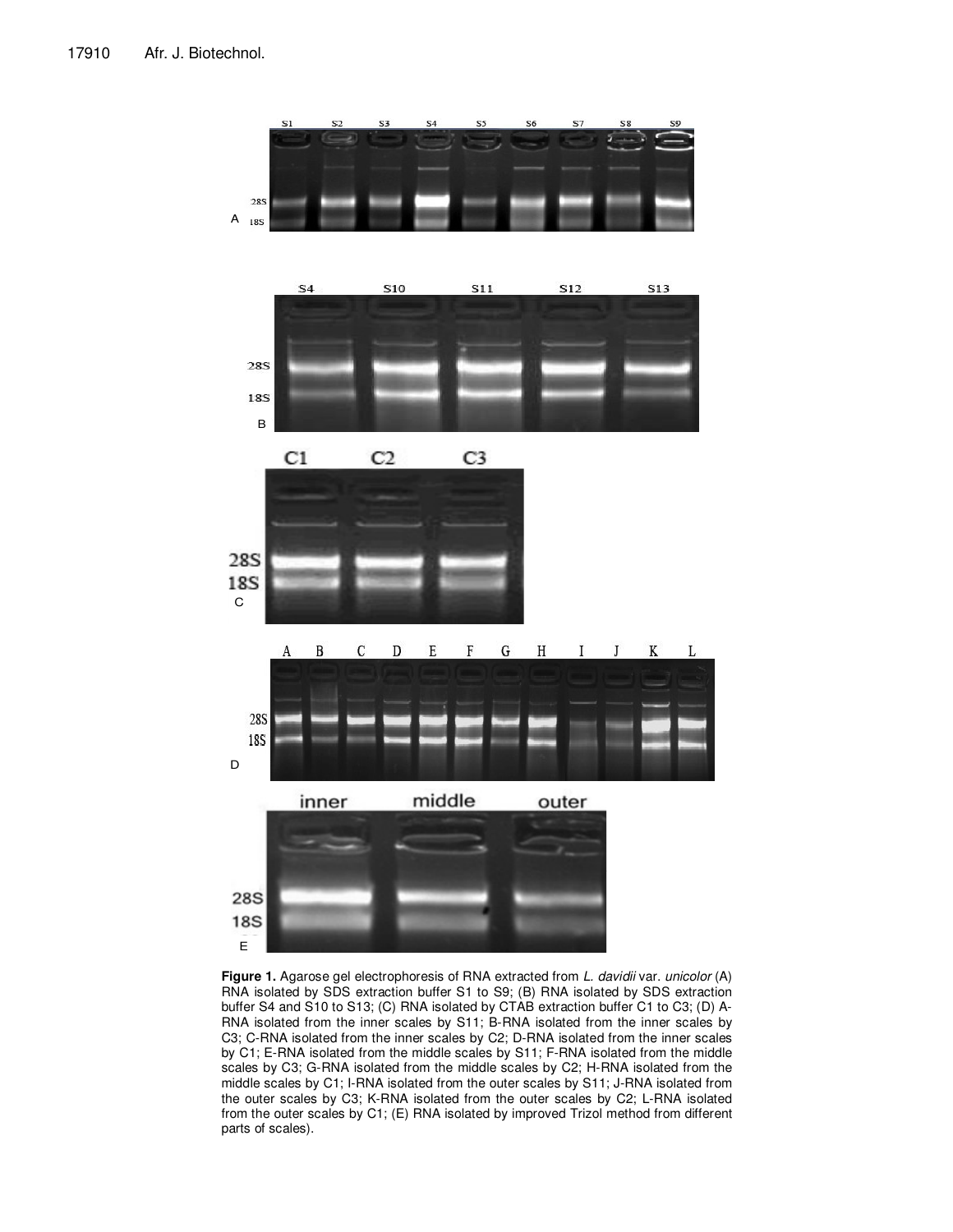

Figure 1. Agarose gel electrophoresis of RNA extracted from L. davidii var. unicolor (A) RNA isolated by SDS extraction buffer S1 to S9; (B) RNA isolated by SDS extraction buffer S4 and S10 to S13; (C) RNA isolated by CTAB extraction buffer C1 to C3; (D) A-RNA isolated from the inner scales by S11; B-RNA isolated from the inner scales by C3; C-RNA isolated from the inner scales by C2; D-RNA isolated from the inner scales by C1; E-RNA isolated from the middle scales by S11; F-RNA isolated from the middle scales by C3; G-RNA isolated from the middle scales by C2; H-RNA isolated from the middle scales by C1; I-RNA isolated from the outer scales by S11; J-RNA isolated from the outer scales by C3; K-RNA isolated from the outer scales by C2; L-RNA isolated from the outer scales by C1; (E) RNA isolated by improved Trizol method from different parts of scales).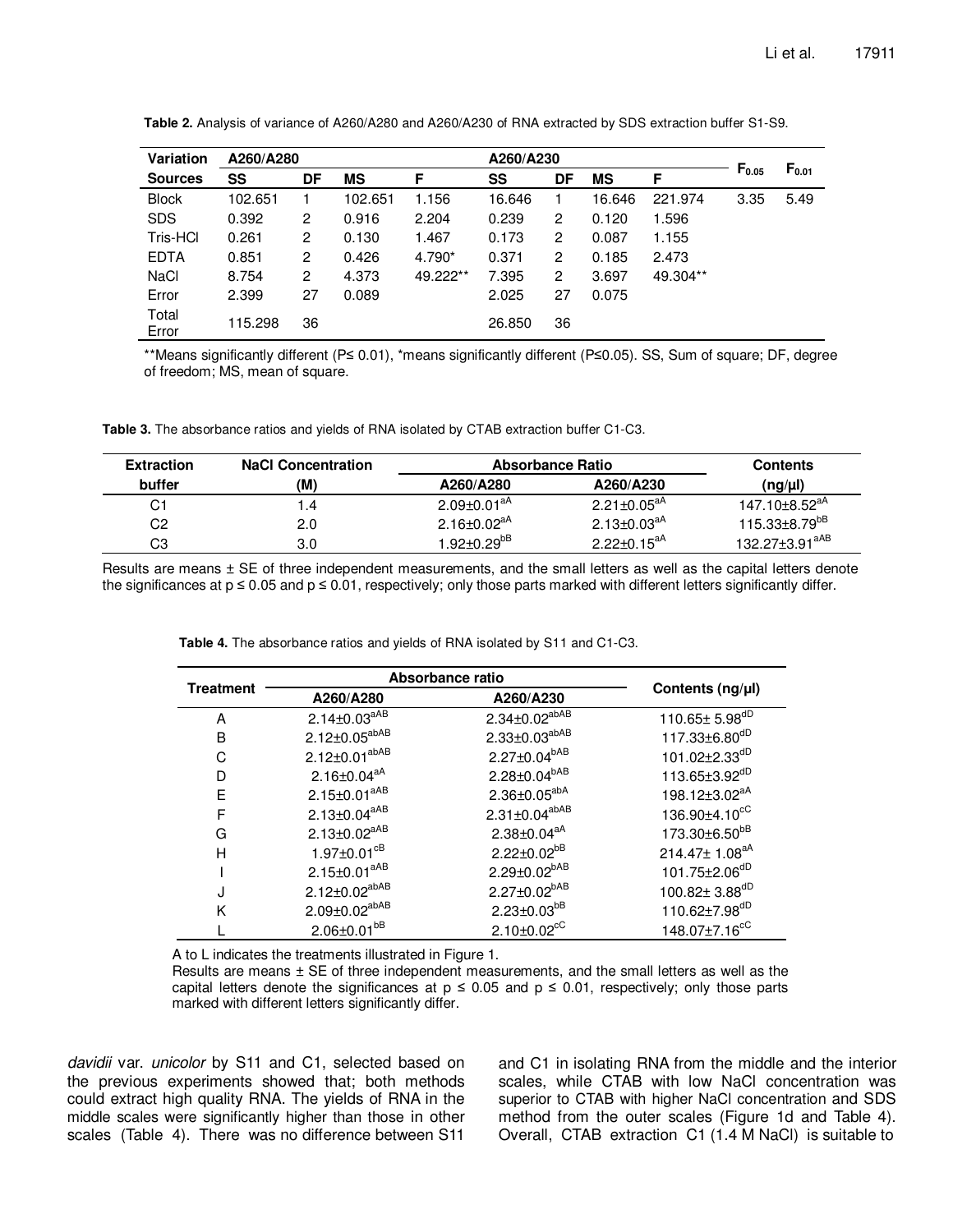| Variation      | A260/A280 |    |           | A260/A230 |        |                |           |          |            |            |
|----------------|-----------|----|-----------|-----------|--------|----------------|-----------|----------|------------|------------|
| <b>Sources</b> | SS        | DF | <b>MS</b> | F         | SS     | DF             | <b>MS</b> | F        | $F_{0.05}$ | $F_{0.01}$ |
| <b>Block</b>   | 102.651   |    | 102.651   | 1.156     | 16.646 |                | 16.646    | 221.974  | 3.35       | 5.49       |
| <b>SDS</b>     | 0.392     | 2  | 0.916     | 2.204     | 0.239  | 2              | 0.120     | 1.596    |            |            |
| Tris-HCl       | 0.261     | 2  | 0.130     | 1.467     | 0.173  | $\overline{2}$ | 0.087     | 1.155    |            |            |
| <b>EDTA</b>    | 0.851     | 2  | 0.426     | 4.790*    | 0.371  | 2              | 0.185     | 2.473    |            |            |
| NaCl           | 8.754     | 2  | 4.373     | 49.222**  | 7.395  | $\mathbf{2}$   | 3.697     | 49.304** |            |            |
| Error          | 2.399     | 27 | 0.089     |           | 2.025  | 27             | 0.075     |          |            |            |
| Total<br>Error | 115.298   | 36 |           |           | 26.850 | 36             |           |          |            |            |

Table 2. Analysis of variance of A260/A280 and A260/A230 of RNA extracted by SDS extraction buffer S1-S9.

\*\*Means significantly different (P≤ 0.01), \*means significantly different (P≤0.05). SS, Sum of square; DF, degree of freedom; MS, mean of square.

**Table 3.** The absorbance ratios and yields of RNA isolated by CTAB extraction buffer C1-C3.

| <b>Extraction</b> | <b>NaCl Concentration</b> | Absorbance Ratio              |                               | <b>Contents</b>            |
|-------------------|---------------------------|-------------------------------|-------------------------------|----------------------------|
| buffer            | (M)                       | A260/A280                     | A260/A230                     | $(ng/\mu l)$               |
| C1                | 1.4                       | $2.09 \pm 0.01$ <sup>aA</sup> | $2.21 \pm 0.05^{aA}$          | $147.10\pm8.52^{aA}$       |
| C2                | 2.0                       | $2.16 \pm 0.02$ <sup>aA</sup> | $2.13 \pm 0.03$ <sup>aA</sup> | $115.33\pm8.79^{bB}$       |
| C3                | 3.0                       | $1.92 \pm 0.29^{b}$           | $2.22 \pm 0.15^{aA}$          | 132.27±3.91 <sup>aAB</sup> |

Results are means ± SE of three independent measurements, and the small letters as well as the capital letters denote the significances at  $p \le 0.05$  and  $p \le 0.01$ , respectively; only those parts marked with different letters significantly differ.

**Table 4.** The absorbance ratios and yields of RNA isolated by S11 and C1-C3.

|                  | Absorbance ratio              |                             |                                 |  |  |
|------------------|-------------------------------|-----------------------------|---------------------------------|--|--|
| <b>Treatment</b> | A260/A280                     | A260/A230                   | Contents (ng/µl)                |  |  |
| A                | $2.14 \pm 0.03^{aAB}$         | $2.34 \pm 0.02^{abAB}$      | 110.65 $\pm$ 5.98 <sup>dD</sup> |  |  |
| в                | $2.12 \pm 0.05^{abAB}$        | $2.33 \pm 0.03^{abAB}$      | 117.33±6.80 <sup>dD</sup>       |  |  |
| C                | $2.12 \pm 0.01^{abAB}$        | $2.27 \pm 0.04^{bAB}$       | 101.02 $\pm$ 2.33 <sup>dD</sup> |  |  |
| D                | $2.16 \pm 0.04$ <sup>aA</sup> | $2.28 \pm 0.04^{bAB}$       | 113.65±3.92dD                   |  |  |
| F                | $2.15 \pm 0.01^{aAB}$         | $2.36 \pm 0.05^{abA}$       | 198.12±3.02 <sup>aA</sup>       |  |  |
| F                | $2.13 \pm 0.04^{aAB}$         | $2.31 \pm 0.04^{abAB}$      | 136.90±4.10 <sup>cC</sup>       |  |  |
| G                | $2.13 \pm 0.02^{aAB}$         | $2.38 \pm 0.04^{aA}$        | 173.30±6.50 <sup>bB</sup>       |  |  |
| Н                | $1.97 \pm 0.01$ <sup>cB</sup> | $2.22 \pm 0.02^{bB}$        | $214.47 \pm 1.08^{aA}$          |  |  |
|                  | $2.15 \pm 0.01^{aAB}$         | $2.29 \pm 0.02^{bAB}$       | 101.75±2.06 <sup>dD</sup>       |  |  |
| J                | $2.12 \pm 0.02^{abAB}$        | $2.27 \pm 0.02^{bAB}$       | 100.82± 3.88dD                  |  |  |
| Κ                | $2.09 \pm 0.02^{abAB}$        | $2.23 \pm 0.03^{bB}$        | $110.62 \pm 7.98^{dD}$          |  |  |
|                  | $2.06 \pm 0.01^{bB}$          | $2.10\pm0.02$ <sup>cC</sup> | 148.07±7.16 <sup>cC</sup>       |  |  |

A to L indicates the treatments illustrated in Figure 1.

Results are means  $\pm$  SE of three independent measurements, and the small letters as well as the capital letters denote the significances at  $p \le 0.05$  and  $p \le 0.01$ , respectively; only those parts marked with different letters significantly differ.

davidii var. unicolor by S11 and C1, selected based on the previous experiments showed that; both methods could extract high quality RNA. The yields of RNA in the middle scales were significantly higher than those in other scales (Table 4). There was no difference between S11

and C1 in isolating RNA from the middle and the interior scales, while CTAB with low NaCl concentration was superior to CTAB with higher NaCl concentration and SDS method from the outer scales (Figure 1d and Table 4). Overall, CTAB extraction C1 (1.4 M NaCl) is suitable to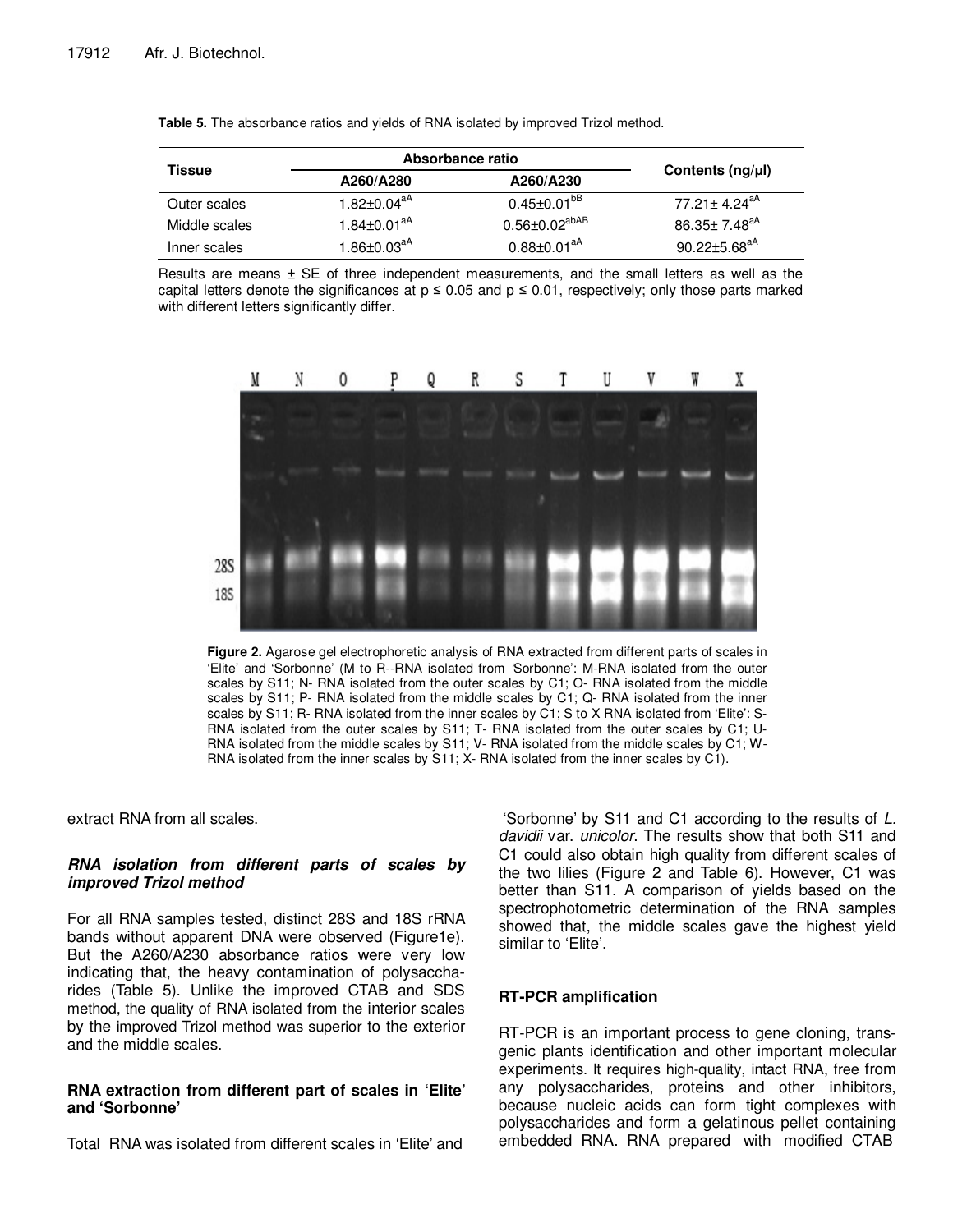|               | Absorbance ratio              |                               |                                |  |
|---------------|-------------------------------|-------------------------------|--------------------------------|--|
| Tissue        | A260/A280                     | A260/A230                     | Contents (ng/µl)               |  |
| Outer scales  | $1.82 \pm 0.04^{\text{aA}}$   | $0.45 \pm 0.01^{b}$           | $77.21 \pm 4.24$ <sup>aA</sup> |  |
| Middle scales | $1.84 \pm 0.01$ <sup>aA</sup> | $0.56 \pm 0.02^\mathrm{abAB}$ | 86.35 $\pm$ 7.48 <sup>aA</sup> |  |
| Inner scales  | $1.86\pm0.03^{aA}$            | $0.88 \pm 0.01$ <sup>aA</sup> | $90.22 \pm 5.68$ <sup>aA</sup> |  |

**Table 5.** The absorbance ratios and yields of RNA isolated by improved Trizol method.

Results are means  $\pm$  SE of three independent measurements, and the small letters as well as the capital letters denote the significances at  $p \le 0.05$  and  $p \le 0.01$ , respectively; only those parts marked with different letters significantly differ.



**Figure 2.** Agarose gel electrophoretic analysis of RNA extracted from different parts of scales in 'Elite' and 'Sorbonne' (M to R--RNA isolated from 'Sorbonne': M-RNA isolated from the outer scales by S11; N- RNA isolated from the outer scales by C1; O- RNA isolated from the middle scales by S11; P- RNA isolated from the middle scales by C1; Q- RNA isolated from the inner scales by S11; R- RNA isolated from the inner scales by C1; S to X RNA isolated from 'Elite': S-RNA isolated from the outer scales by S11; T- RNA isolated from the outer scales by C1; U-RNA isolated from the middle scales by S11; V- RNA isolated from the middle scales by C1; W-RNA isolated from the inner scales by S11; X- RNA isolated from the inner scales by C1).

extract RNA from all scales.

# **RNA isolation from different parts of scales by improved Trizol method**

For all RNA samples tested, distinct 28S and 18S rRNA bands without apparent DNA were observed (Figure1e). But the A260/A230 absorbance ratios were very low indicating that, the heavy contamination of polysaccharides (Table 5). Unlike the improved CTAB and SDS method, the quality of RNA isolated from the interior scales by the improved Trizol method was superior to the exterior and the middle scales.

# **RNA extraction from different part of scales in 'Elite' and 'Sorbonne'**

Total RNA was isolated from different scales in 'Elite' and

 'Sorbonne' by S11 and C1 according to the results of L. davidii var. unicolor. The results show that both S11 and C1 could also obtain high quality from different scales of the two lilies (Figure 2 and Table 6). However, C1 was better than S11. A comparison of yields based on the spectrophotometric determination of the RNA samples showed that, the middle scales gave the highest yield similar to 'Elite'.

# **RT-PCR amplification**

RT-PCR is an important process to gene cloning, transgenic plants identification and other important molecular experiments. It requires high-quality, intact RNA, free from any polysaccharides, proteins and other inhibitors, because nucleic acids can form tight complexes with polysaccharides and form a gelatinous pellet containing embedded RNA. RNA prepared with modified CTAB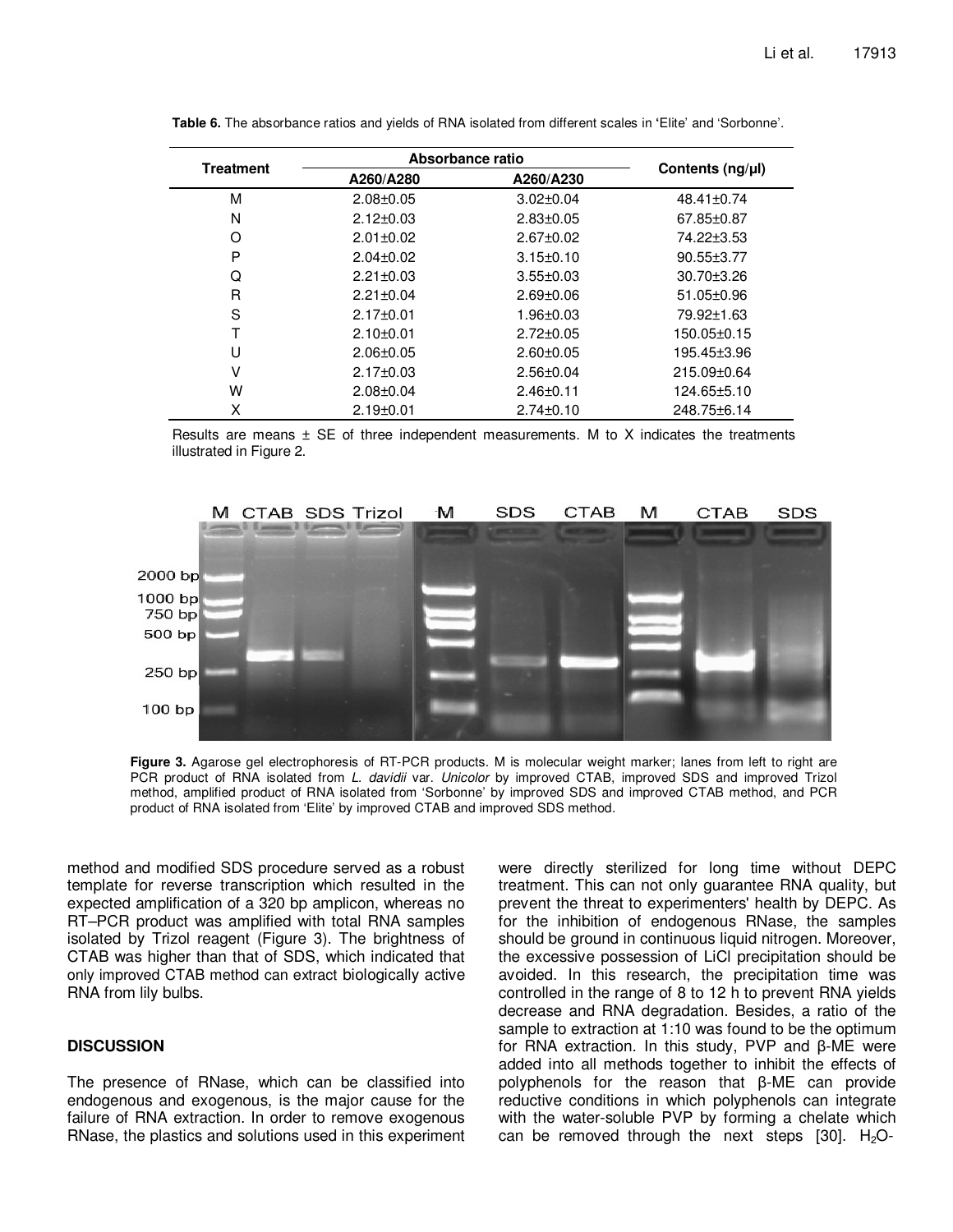|                  | Absorbance ratio |                 |                  |
|------------------|------------------|-----------------|------------------|
| <b>Treatment</b> | A260/A280        | A260/A230       | Contents (ng/µl) |
| М                | $2.08 + 0.05$    | $3.02 \pm 0.04$ | 48.41±0.74       |
| N                | $2.12 \pm 0.03$  | $2.83 \pm 0.05$ | 67.85±0.87       |
| O                | $2.01 \pm 0.02$  | $2.67 \pm 0.02$ | 74.22±3.53       |
| P                | $2.04 \pm 0.02$  | $3.15 \pm 0.10$ | $90.55 \pm 3.77$ |
| Q                | $2.21 \pm 0.03$  | $3.55 \pm 0.03$ | 30.70±3.26       |
| R                | $2.21 \pm 0.04$  | $2.69 + 0.06$   | 51.05±0.96       |
| S                | $2.17 \pm 0.01$  | 1.96±0.03       | 79.92±1.63       |
|                  | $2.10\pm0.01$    | $2.72 \pm 0.05$ | 150.05±0.15      |
| U                | $2.06 + 0.05$    | $2.60 + 0.05$   | 195.45±3.96      |
| v                | $2.17 \pm 0.03$  | $2.56 \pm 0.04$ | 215.09±0.64      |
| W                | $2.08 + 0.04$    | $2.46 \pm 0.11$ | 124.65±5.10      |
| X                | $2.19\pm0.01$    | $2.74 \pm 0.10$ | 248.75±6.14      |

**Table 6.** The absorbance ratios and yields of RNA isolated from different scales in **'**Elite' and 'Sorbonne'.

Results are means  $\pm$  SE of three independent measurements. M to X indicates the treatments illustrated in Figure 2.



Figure 3. Agarose gel electrophoresis of RT-PCR products. M is molecular weight marker; lanes from left to right are PCR product of RNA isolated from L. davidii var. Unicolor by improved CTAB, improved SDS and improved Trizol method, amplified product of RNA isolated from 'Sorbonne' by improved SDS and improved CTAB method, and PCR product of RNA isolated from 'Elite' by improved CTAB and improved SDS method.

method and modified SDS procedure served as a robust template for reverse transcription which resulted in the expected amplification of a 320 bp amplicon, whereas no RT–PCR product was amplified with total RNA samples isolated by Trizol reagent (Figure 3). The brightness of CTAB was higher than that of SDS, which indicated that only improved CTAB method can extract biologically active RNA from lily bulbs.

## **DISCUSSION**

The presence of RNase, which can be classified into endogenous and exogenous, is the major cause for the failure of RNA extraction. In order to remove exogenous RNase, the plastics and solutions used in this experiment

were directly sterilized for long time without DEPC treatment. This can not only guarantee RNA quality, but prevent the threat to experimenters' health by DEPC. As for the inhibition of endogenous RNase, the samples should be ground in continuous liquid nitrogen. Moreover, the excessive possession of LiCl precipitation should be avoided. In this research, the precipitation time was controlled in the range of 8 to 12 h to prevent RNA yields decrease and RNA degradation. Besides, a ratio of the sample to extraction at 1:10 was found to be the optimum for RNA extraction. In this study, PVP and β-ME were added into all methods together to inhibit the effects of polyphenols for the reason that β-ME can provide reductive conditions in which polyphenols can integrate with the water-soluble PVP by forming a chelate which can be removed through the next steps  $[30]$ . H<sub>2</sub>O-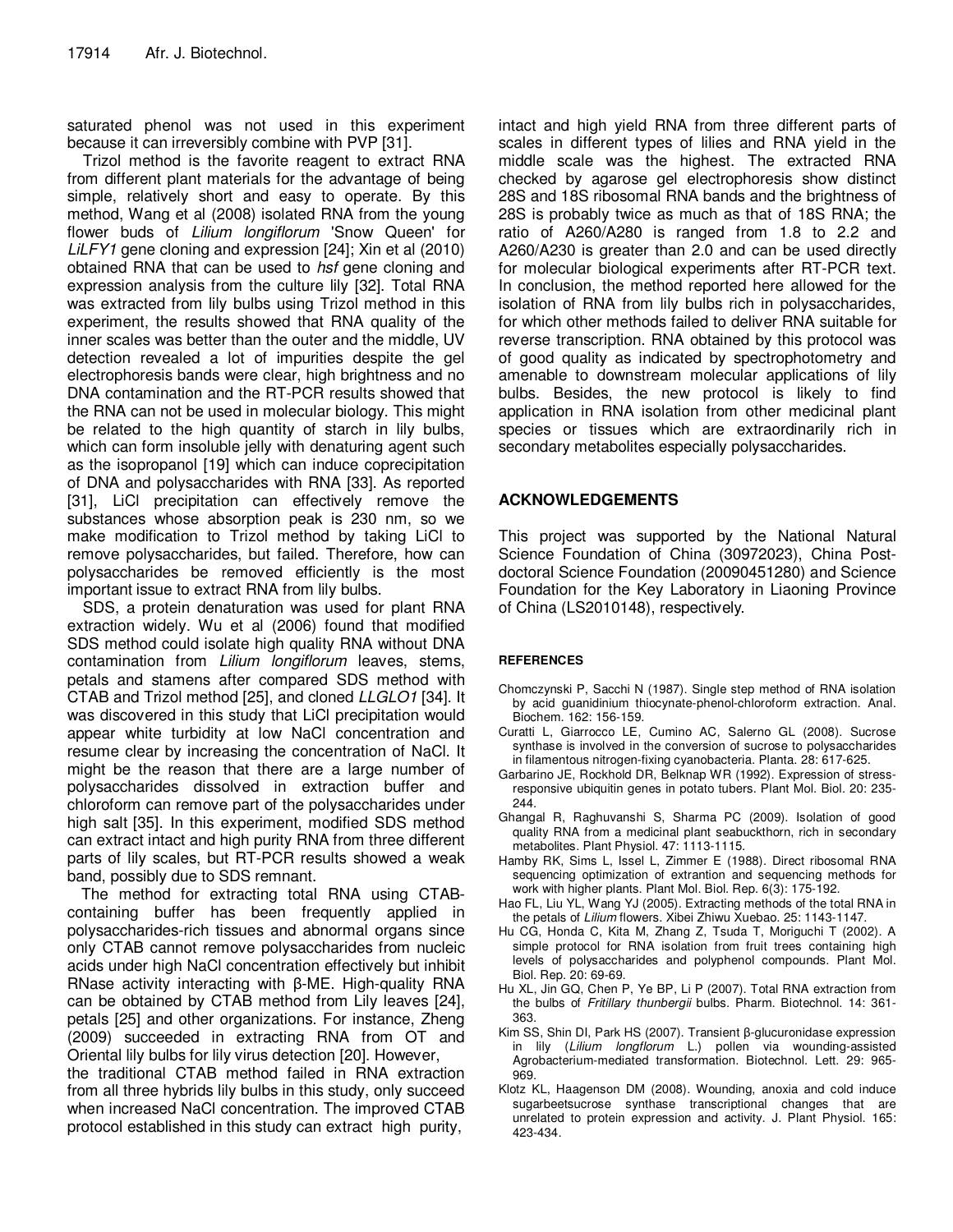saturated phenol was not used in this experiment because it can irreversibly combine with PVP [31].

Trizol method is the favorite reagent to extract RNA from different plant materials for the advantage of being simple, relatively short and easy to operate. By this method, Wang et al (2008) isolated RNA from the young flower buds of Lilium longiflorum 'Snow Queen' for LiLFY1 gene cloning and expression [24]; Xin et al (2010) obtained RNA that can be used to hsf gene cloning and expression analysis from the culture lily [32]. Total RNA was extracted from lily bulbs using Trizol method in this experiment, the results showed that RNA quality of the inner scales was better than the outer and the middle, UV detection revealed a lot of impurities despite the gel electrophoresis bands were clear, high brightness and no DNA contamination and the RT-PCR results showed that the RNA can not be used in molecular biology. This might be related to the high quantity of starch in lily bulbs, which can form insoluble jelly with denaturing agent such as the isopropanol [19] which can induce coprecipitation of DNA and polysaccharides with RNA [33]. As reported [31], LiCl precipitation can effectively remove the substances whose absorption peak is 230 nm, so we make modification to Trizol method by taking LiCl to remove polysaccharides, but failed. Therefore, how can polysaccharides be removed efficiently is the most important issue to extract RNA from lily bulbs.

SDS, a protein denaturation was used for plant RNA extraction widely. Wu et al (2006) found that modified SDS method could isolate high quality RNA without DNA contamination from Lilium longiflorum leaves, stems, petals and stamens after compared SDS method with CTAB and Trizol method [25], and cloned LLGLO1 [34]. It was discovered in this study that LiCl precipitation would appear white turbidity at low NaCl concentration and resume clear by increasing the concentration of NaCl. It might be the reason that there are a large number of polysaccharides dissolved in extraction buffer and chloroform can remove part of the polysaccharides under high salt [35]. In this experiment, modified SDS method can extract intact and high purity RNA from three different parts of lily scales, but RT-PCR results showed a weak band, possibly due to SDS remnant.

The method for extracting total RNA using CTABcontaining buffer has been frequently applied in polysaccharides-rich tissues and abnormal organs since only CTAB cannot remove polysaccharides from nucleic acids under high NaCl concentration effectively but inhibit RNase activity interacting with β-ME. High-quality RNA can be obtained by CTAB method from Lily leaves [24], petals [25] and other organizations. For instance, Zheng (2009) succeeded in extracting RNA from OT and Oriental lily bulbs for lily virus detection [20]. However,

the traditional CTAB method failed in RNA extraction from all three hybrids lily bulbs in this study, only succeed when increased NaCl concentration. The improved CTAB protocol established in this study can extract high purity,

intact and high yield RNA from three different parts of scales in different types of lilies and RNA yield in the middle scale was the highest. The extracted RNA checked by agarose gel electrophoresis show distinct 28S and 18S ribosomal RNA bands and the brightness of 28S is probably twice as much as that of 18S RNA; the ratio of A260/A280 is ranged from 1.8 to 2.2 and A260/A230 is greater than 2.0 and can be used directly for molecular biological experiments after RT-PCR text. In conclusion, the method reported here allowed for the isolation of RNA from lily bulbs rich in polysaccharides, for which other methods failed to deliver RNA suitable for reverse transcription. RNA obtained by this protocol was of good quality as indicated by spectrophotometry and amenable to downstream molecular applications of lily bulbs. Besides, the new protocol is likely to find application in RNA isolation from other medicinal plant species or tissues which are extraordinarily rich in secondary metabolites especially polysaccharides.

# **ACKNOWLEDGEMENTS**

This project was supported by the National Natural Science Foundation of China (30972023), China Postdoctoral Science Foundation (20090451280) and Science Foundation for the Key Laboratory in Liaoning Province of China (LS2010148), respectively.

# **REFERENCES**

- Chomczynski P, Sacchi N (1987). Single step method of RNA isolation by acid guanidinium thiocynate-phenol-chloroform extraction. Anal. Biochem. 162: 156-159.
- Curatti L, Giarrocco LE, Cumino AC, Salerno GL (2008). Sucrose synthase is involved in the conversion of sucrose to polysaccharides in filamentous nitrogen-fixing cyanobacteria. Planta. 28: 617-625.
- Garbarino JE, Rockhold DR, Belknap WR (1992). Expression of stressresponsive ubiquitin genes in potato tubers. Plant Mol. Biol. 20: 235- 244.
- Ghangal R, Raghuvanshi S, Sharma PC (2009). Isolation of good quality RNA from a medicinal plant seabuckthorn, rich in secondary metabolites. Plant Physiol. 47: 1113-1115.
- Hamby RK, Sims L, Issel L, Zimmer E (1988). Direct ribosomal RNA sequencing optimization of extrantion and sequencing methods for work with higher plants. Plant Mol. Biol. Rep. 6(3): 175-192.
- Hao FL, Liu YL, Wang YJ (2005). Extracting methods of the total RNA in the petals of Lilium flowers. Xibei Zhiwu Xuebao. 25: 1143-1147.
- Hu CG, Honda C, Kita M, Zhang Z, Tsuda T, Moriguchi T (2002). A simple protocol for RNA isolation from fruit trees containing high levels of polysaccharides and polyphenol compounds. Plant Mol. Biol. Rep. 20: 69-69.
- Hu XL, Jin GQ, Chen P, Ye BP, Li P (2007). Total RNA extraction from the bulbs of Fritillary thunbergii bulbs. Pharm. Biotechnol. 14: 361- 363.
- Kim SS, Shin DI, Park HS (2007). Transient β-glucuronidase expression in lily (Lilium longflorum L.) pollen via wounding-assisted Agrobacterium-mediated transformation. Biotechnol. Lett. 29: 965- 969.
- Klotz KL, Haagenson DM (2008). Wounding, anoxia and cold induce sugarbeetsucrose synthase transcriptional changes that are unrelated to protein expression and activity. J. Plant Physiol. 165: 423-434.